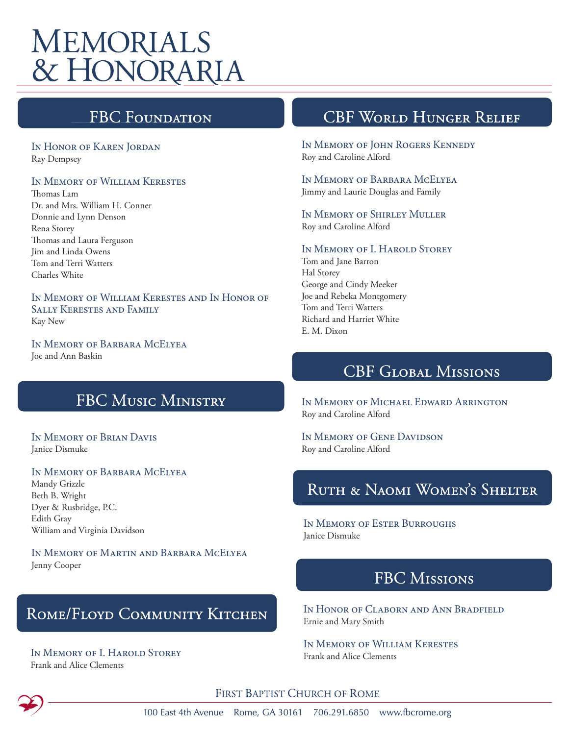# **MEMORIALS** & HONORARIA

## **FBC Foundati**

In Honor of Karen Jordan Ray Dempsey

#### In Memory of William Kerestes

Thomas Lam Dr. and Mrs. William H. Conner Donnie and Lynn Denson Rena Storey Thomas and Laura Ferguson Jim and Linda Owens Tom and Terri Watters Charles White

In Memory of William Kerestes and In Honor of Sally Kerestes and Family Kay New

In Memory of Barbara McElyea Joe and Ann Baskin

## **FBC MUSIC MINISTRY**

In Memory of Brian Davis Janice Dismuke

### In Memory of Barbara McElyea

Mandy Grizzle Beth B. Wright Dyer & Rusbridge, P.C. Edith Gray William and Virginia Davidson

In Memory of Martin and Barbara McElyea Jenny Cooper

## ROME/FLOYD COMMUNITY KITCHEN

#### IN MEMORY OF I. HAROLD STOREY Frank and Alice Clements

## **CBF WORLD HUNGER RELIEF**

In Memory of John Rogers Kennedy Roy and Caroline Alford

In Memory of Barbara McElyea Jimmy and Laurie Douglas and Family

In Memory of Shirley Muller Roy and Caroline Alford

#### In Memory of I. Harold Storey

Tom and Jane Barron Hal Storey George and Cindy Meeker Joe and Rebeka Montgomery Tom and Terri Watters Richard and Harriet White E. M. Dixon

## **CBF GLOBAL MISSIONS**

In Memory of Michael Edward Arrington Roy and Caroline Alford

IN MEMORY OF GENE DAVIDSON Roy and Caroline Alford

## RUTH & NAOMI WOMEN'S SHELTER

In Memory of Ester Burroughs Janice Dismuke

## **FBC MISSIONS**

In Honor of Claborn and Ann Bradfield Ernie and Mary Smith

In Memory of William Kerestes Frank and Alice Clements

FIRST BAPTIST CHURCH OF ROME